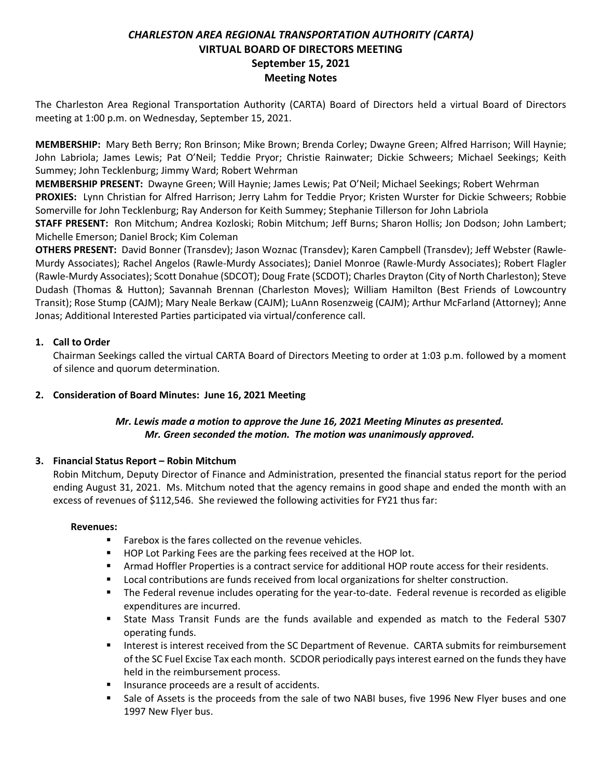# *CHARLESTON AREA REGIONAL TRANSPORTATION AUTHORITY (CARTA)* **VIRTUAL BOARD OF DIRECTORS MEETING September 15, 2021 Meeting Notes**

The Charleston Area Regional Transportation Authority (CARTA) Board of Directors held a virtual Board of Directors meeting at 1:00 p.m. on Wednesday, September 15, 2021.

**MEMBERSHIP:** Mary Beth Berry; Ron Brinson; Mike Brown; Brenda Corley; Dwayne Green; Alfred Harrison; Will Haynie; John Labriola; James Lewis; Pat O'Neil; Teddie Pryor; Christie Rainwater; Dickie Schweers; Michael Seekings; Keith Summey; John Tecklenburg; Jimmy Ward; Robert Wehrman

**MEMBERSHIP PRESENT:** Dwayne Green; Will Haynie; James Lewis; Pat O'Neil; Michael Seekings; Robert Wehrman **PROXIES:** Lynn Christian for Alfred Harrison; Jerry Lahm for Teddie Pryor; Kristen Wurster for Dickie Schweers; Robbie Somerville for John Tecklenburg; Ray Anderson for Keith Summey; Stephanie Tillerson for John Labriola

**STAFF PRESENT:** Ron Mitchum; Andrea Kozloski; Robin Mitchum; Jeff Burns; Sharon Hollis; Jon Dodson; John Lambert; Michelle Emerson; Daniel Brock; Kim Coleman

**OTHERS PRESENT:** David Bonner (Transdev); Jason Woznac (Transdev); Karen Campbell (Transdev); Jeff Webster (Rawle-Murdy Associates); Rachel Angelos (Rawle-Murdy Associates); Daniel Monroe (Rawle-Murdy Associates); Robert Flagler (Rawle-Murdy Associates); Scott Donahue (SDCOT); Doug Frate (SCDOT); Charles Drayton (City of North Charleston); Steve Dudash (Thomas & Hutton); Savannah Brennan (Charleston Moves); William Hamilton (Best Friends of Lowcountry Transit); Rose Stump (CAJM); Mary Neale Berkaw (CAJM); LuAnn Rosenzweig (CAJM); Arthur McFarland (Attorney); Anne Jonas; Additional Interested Parties participated via virtual/conference call.

### **1. Call to Order**

Chairman Seekings called the virtual CARTA Board of Directors Meeting to order at 1:03 p.m. followed by a moment of silence and quorum determination.

# **2. Consideration of Board Minutes: June 16, 2021 Meeting**

# *Mr. Lewis made a motion to approve the June 16, 2021 Meeting Minutes as presented. Mr. Green seconded the motion. The motion was unanimously approved.*

# **3. Financial Status Report – Robin Mitchum**

Robin Mitchum, Deputy Director of Finance and Administration, presented the financial status report for the period ending August 31, 2021. Ms. Mitchum noted that the agency remains in good shape and ended the month with an excess of revenues of \$112,546. She reviewed the following activities for FY21 thus far:

### **Revenues:**

- Farebox is the fares collected on the revenue vehicles.
- HOP Lot Parking Fees are the parking fees received at the HOP lot.
- Armad Hoffler Properties is a contract service for additional HOP route access for their residents.
- Local contributions are funds received from local organizations for shelter construction.
- The Federal revenue includes operating for the year-to-date. Federal revenue is recorded as eligible expenditures are incurred.
- State Mass Transit Funds are the funds available and expended as match to the Federal 5307 operating funds.
- Interest is interest received from the SC Department of Revenue. CARTA submits for reimbursement of the SC Fuel Excise Tax each month. SCDOR periodically pays interest earned on the funds they have held in the reimbursement process.
- Insurance proceeds are a result of accidents.
- Sale of Assets is the proceeds from the sale of two NABI buses, five 1996 New Flyer buses and one 1997 New Flyer bus.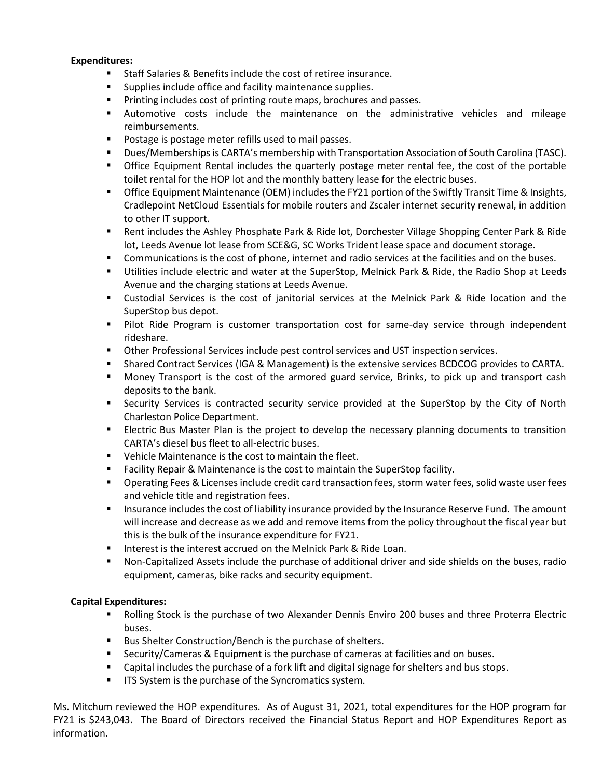### **Expenditures:**

- Staff Salaries & Benefits include the cost of retiree insurance.
- Supplies include office and facility maintenance supplies.
- Printing includes cost of printing route maps, brochures and passes.
- Automotive costs include the maintenance on the administrative vehicles and mileage reimbursements.
- Postage is postage meter refills used to mail passes.
- Dues/Memberships is CARTA's membership with Transportation Association of South Carolina (TASC).
- **•** Office Equipment Rental includes the quarterly postage meter rental fee, the cost of the portable toilet rental for the HOP lot and the monthly battery lease for the electric buses.
- **Office Equipment Maintenance (OEM) includes the FY21 portion of the Swiftly Transit Time & Insights,** Cradlepoint NetCloud Essentials for mobile routers and Zscaler internet security renewal, in addition to other IT support.
- Rent includes the Ashley Phosphate Park & Ride lot, Dorchester Village Shopping Center Park & Ride lot, Leeds Avenue lot lease from SCE&G, SC Works Trident lease space and document storage.
- **•** Communications is the cost of phone, internet and radio services at the facilities and on the buses.
- Utilities include electric and water at the SuperStop, Melnick Park & Ride, the Radio Shop at Leeds Avenue and the charging stations at Leeds Avenue.
- Custodial Services is the cost of janitorial services at the Melnick Park & Ride location and the SuperStop bus depot.
- **■** Pilot Ride Program is customer transportation cost for same-day service through independent rideshare.
- Other Professional Services include pest control services and UST inspection services.
- Shared Contract Services (IGA & Management) is the extensive services BCDCOG provides to CARTA.
- Money Transport is the cost of the armored guard service, Brinks, to pick up and transport cash deposits to the bank.
- **EXECUTE:** Security Services is contracted security service provided at the SuperStop by the City of North Charleston Police Department.
- Electric Bus Master Plan is the project to develop the necessary planning documents to transition CARTA's diesel bus fleet to all-electric buses.
- Vehicle Maintenance is the cost to maintain the fleet.
- Facility Repair & Maintenance is the cost to maintain the SuperStop facility.
- Operating Fees & Licenses include credit card transaction fees, storm water fees, solid waste user fees and vehicle title and registration fees.
- **EXECT** Insurance includes the cost of liability insurance provided by the Insurance Reserve Fund. The amount will increase and decrease as we add and remove items from the policy throughout the fiscal year but this is the bulk of the insurance expenditure for FY21.
- Interest is the interest accrued on the Melnick Park & Ride Loan.
- Non-Capitalized Assets include the purchase of additional driver and side shields on the buses, radio equipment, cameras, bike racks and security equipment.

### **Capital Expenditures:**

- Rolling Stock is the purchase of two Alexander Dennis Enviro 200 buses and three Proterra Electric buses.
- Bus Shelter Construction/Bench is the purchase of shelters.
- Security/Cameras & Equipment is the purchase of cameras at facilities and on buses.
- Capital includes the purchase of a fork lift and digital signage for shelters and bus stops.
- **■** ITS System is the purchase of the Syncromatics system.

Ms. Mitchum reviewed the HOP expenditures. As of August 31, 2021, total expenditures for the HOP program for FY21 is \$243,043. The Board of Directors received the Financial Status Report and HOP Expenditures Report as information.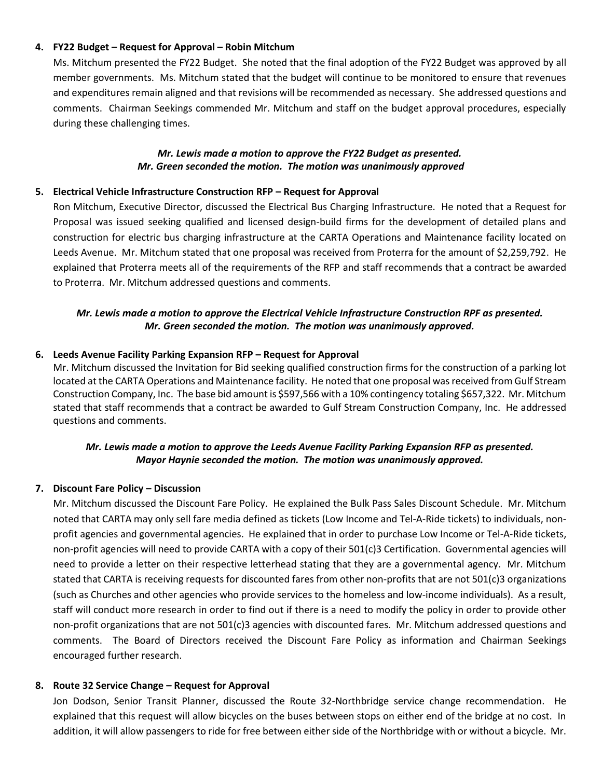### **4. FY22 Budget – Request for Approval – Robin Mitchum**

Ms. Mitchum presented the FY22 Budget. She noted that the final adoption of the FY22 Budget was approved by all member governments. Ms. Mitchum stated that the budget will continue to be monitored to ensure that revenues and expenditures remain aligned and that revisions will be recommended as necessary. She addressed questions and comments. Chairman Seekings commended Mr. Mitchum and staff on the budget approval procedures, especially during these challenging times.

### *Mr. Lewis made a motion to approve the FY22 Budget as presented. Mr. Green seconded the motion. The motion was unanimously approved*

### **5. Electrical Vehicle Infrastructure Construction RFP – Request for Approval**

Ron Mitchum, Executive Director, discussed the Electrical Bus Charging Infrastructure. He noted that a Request for Proposal was issued seeking qualified and licensed design-build firms for the development of detailed plans and construction for electric bus charging infrastructure at the CARTA Operations and Maintenance facility located on Leeds Avenue. Mr. Mitchum stated that one proposal was received from Proterra for the amount of \$2,259,792. He explained that Proterra meets all of the requirements of the RFP and staff recommends that a contract be awarded to Proterra. Mr. Mitchum addressed questions and comments.

## *Mr. Lewis made a motion to approve the Electrical Vehicle Infrastructure Construction RPF as presented. Mr. Green seconded the motion. The motion was unanimously approved.*

### **6. Leeds Avenue Facility Parking Expansion RFP – Request for Approval**

Mr. Mitchum discussed the Invitation for Bid seeking qualified construction firms for the construction of a parking lot located at the CARTA Operations and Maintenance facility. He noted that one proposal was received from Gulf Stream Construction Company, Inc. The base bid amount is \$597,566 with a 10% contingency totaling \$657,322. Mr. Mitchum stated that staff recommends that a contract be awarded to Gulf Stream Construction Company, Inc. He addressed questions and comments.

### *Mr. Lewis made a motion to approve the Leeds Avenue Facility Parking Expansion RFP as presented. Mayor Haynie seconded the motion. The motion was unanimously approved.*

# **7. Discount Fare Policy – Discussion**

Mr. Mitchum discussed the Discount Fare Policy. He explained the Bulk Pass Sales Discount Schedule. Mr. Mitchum noted that CARTA may only sell fare media defined as tickets (Low Income and Tel-A-Ride tickets) to individuals, nonprofit agencies and governmental agencies. He explained that in order to purchase Low Income or Tel-A-Ride tickets, non-profit agencies will need to provide CARTA with a copy of their 501(c)3 Certification. Governmental agencies will need to provide a letter on their respective letterhead stating that they are a governmental agency. Mr. Mitchum stated that CARTA is receiving requests for discounted fares from other non-profits that are not 501(c)3 organizations (such as Churches and other agencies who provide services to the homeless and low-income individuals). As a result, staff will conduct more research in order to find out if there is a need to modify the policy in order to provide other non-profit organizations that are not 501(c)3 agencies with discounted fares. Mr. Mitchum addressed questions and comments. The Board of Directors received the Discount Fare Policy as information and Chairman Seekings encouraged further research.

### **8. Route 32 Service Change – Request for Approval**

Jon Dodson, Senior Transit Planner, discussed the Route 32-Northbridge service change recommendation. He explained that this request will allow bicycles on the buses between stops on either end of the bridge at no cost. In addition, it will allow passengers to ride for free between either side of the Northbridge with or without a bicycle. Mr.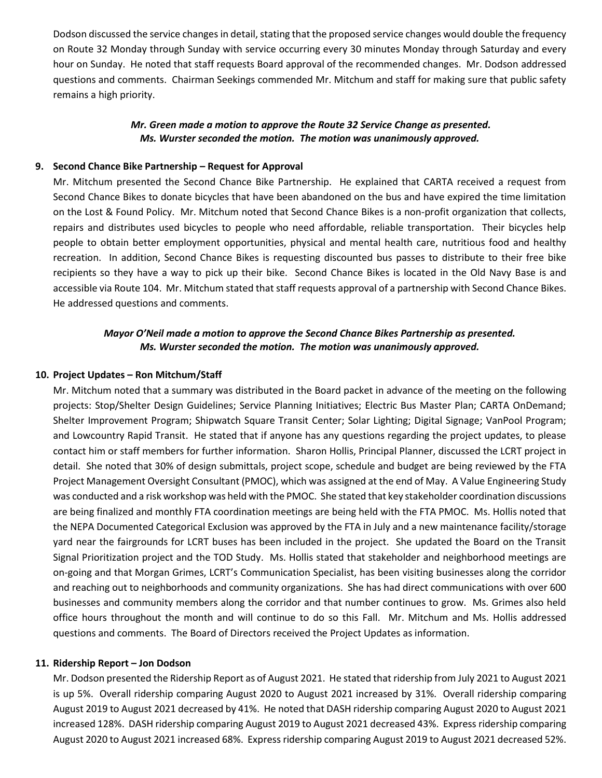Dodson discussed the service changes in detail, stating that the proposed service changes would double the frequency on Route 32 Monday through Sunday with service occurring every 30 minutes Monday through Saturday and every hour on Sunday. He noted that staff requests Board approval of the recommended changes. Mr. Dodson addressed questions and comments. Chairman Seekings commended Mr. Mitchum and staff for making sure that public safety remains a high priority.

### *Mr. Green made a motion to approve the Route 32 Service Change as presented. Ms. Wurster seconded the motion. The motion was unanimously approved.*

#### **9. Second Chance Bike Partnership – Request for Approval**

Mr. Mitchum presented the Second Chance Bike Partnership. He explained that CARTA received a request from Second Chance Bikes to donate bicycles that have been abandoned on the bus and have expired the time limitation on the Lost & Found Policy. Mr. Mitchum noted that Second Chance Bikes is a non-profit organization that collects, repairs and distributes used bicycles to people who need affordable, reliable transportation. Their bicycles help people to obtain better employment opportunities, physical and mental health care, nutritious food and healthy recreation. In addition, Second Chance Bikes is requesting discounted bus passes to distribute to their free bike recipients so they have a way to pick up their bike. Second Chance Bikes is located in the Old Navy Base is and accessible via Route 104. Mr. Mitchum stated that staff requests approval of a partnership with Second Chance Bikes. He addressed questions and comments.

### *Mayor O'Neil made a motion to approve the Second Chance Bikes Partnership as presented. Ms. Wurster seconded the motion. The motion was unanimously approved.*

#### **10. Project Updates – Ron Mitchum/Staff**

Mr. Mitchum noted that a summary was distributed in the Board packet in advance of the meeting on the following projects: Stop/Shelter Design Guidelines; Service Planning Initiatives; Electric Bus Master Plan; CARTA OnDemand; Shelter Improvement Program; Shipwatch Square Transit Center; Solar Lighting; Digital Signage; VanPool Program; and Lowcountry Rapid Transit. He stated that if anyone has any questions regarding the project updates, to please contact him or staff members for further information. Sharon Hollis, Principal Planner, discussed the LCRT project in detail. She noted that 30% of design submittals, project scope, schedule and budget are being reviewed by the FTA Project Management Oversight Consultant (PMOC), which was assigned at the end of May. A Value Engineering Study was conducted and a risk workshop was held with the PMOC. She stated that key stakeholder coordination discussions are being finalized and monthly FTA coordination meetings are being held with the FTA PMOC. Ms. Hollis noted that the NEPA Documented Categorical Exclusion was approved by the FTA in July and a new maintenance facility/storage yard near the fairgrounds for LCRT buses has been included in the project. She updated the Board on the Transit Signal Prioritization project and the TOD Study. Ms. Hollis stated that stakeholder and neighborhood meetings are on-going and that Morgan Grimes, LCRT's Communication Specialist, has been visiting businesses along the corridor and reaching out to neighborhoods and community organizations. She has had direct communications with over 600 businesses and community members along the corridor and that number continues to grow. Ms. Grimes also held office hours throughout the month and will continue to do so this Fall. Mr. Mitchum and Ms. Hollis addressed questions and comments. The Board of Directors received the Project Updates as information.

#### **11. Ridership Report – Jon Dodson**

Mr. Dodson presented the Ridership Report as of August 2021. He stated that ridership from July 2021 to August 2021 is up 5%. Overall ridership comparing August 2020 to August 2021 increased by 31%. Overall ridership comparing August 2019 to August 2021 decreased by 41%. He noted that DASH ridership comparing August 2020 to August 2021 increased 128%. DASH ridership comparing August 2019 to August 2021 decreased 43%. Express ridership comparing August 2020 to August 2021 increased 68%. Express ridership comparing August 2019 to August 2021 decreased 52%.